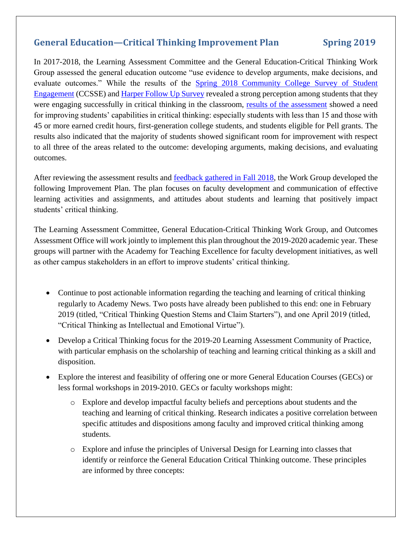## **General Education—Critical Thinking Improvement Plan Spring 2019**

In 2017-2018, the Learning Assessment Committee and the General Education-Critical Thinking Work Group assessed the general education outcome "use evidence to develop arguments, make decisions, and evaluate outcomes." While the results of the [Spring 2018 Community College Survey of Student](https://hip.harpercollege.edu/ourcollege/IR/Documents/CCSSE%202018%20Freq%20Dis.pdf)  [Engagement](https://hip.harpercollege.edu/ourcollege/IR/Documents/CCSSE%202018%20Freq%20Dis.pdf) (CCSSE) and [Harper Follow Up Survey](https://hip.harpercollege.edu/ourcollege/IR/Documents/Follow%20Up%20Survey%20Dashboard%202017.xlsm) revealed a strong perception among students that they were engaging successfully in critical thinking in the classroom, [results of the assessment](https://hip.harpercollege.edu/ourstudents/assessingourstudents/Documents/August%202018%20General%20Education%20Critical%20Thinking%20Assessment%20Results.pdf) showed a need for improving students' capabilities in critical thinking: especially students with less than 15 and those with 45 or more earned credit hours, first-generation college students, and students eligible for Pell grants. The results also indicated that the majority of students showed significant room for improvement with respect to all three of the areas related to the outcome: developing arguments, making decisions, and evaluating outcomes.

After reviewing the assessment results and [feedback gathered in Fall 2018,](https://hip.harpercollege.edu/ourstudents/assessingourstudents/Documents/Critical%20Thinking%20Assessment%20Feedback%20from%202017-18%20Orientation%20Week.pdf) the Work Group developed the following Improvement Plan. The plan focuses on faculty development and communication of effective learning activities and assignments, and attitudes about students and learning that positively impact students' critical thinking.

The Learning Assessment Committee, General Education-Critical Thinking Work Group, and Outcomes Assessment Office will work jointly to implement this plan throughout the 2019-2020 academic year. These groups will partner with the Academy for Teaching Excellence for faculty development initiatives, as well as other campus stakeholders in an effort to improve students' critical thinking.

- Continue to post actionable information regarding the teaching and learning of critical thinking regularly to Academy News. Two posts have already been published to this end: one in February 2019 (titled, "Critical Thinking Question Stems and Claim Starters"), and one April 2019 (titled, "Critical Thinking as Intellectual and Emotional Virtue").
- Develop a Critical Thinking focus for the 2019-20 Learning Assessment Community of Practice, with particular emphasis on the scholarship of teaching and learning critical thinking as a skill and disposition.
- Explore the interest and feasibility of offering one or more General Education Courses (GECs) or less formal workshops in 2019-2010. GECs or faculty workshops might:
	- o Explore and develop impactful faculty beliefs and perceptions about students and the teaching and learning of critical thinking. Research indicates a positive correlation between specific attitudes and dispositions among faculty and improved critical thinking among students.
	- o Explore and infuse the principles of Universal Design for Learning into classes that identify or reinforce the General Education Critical Thinking outcome. These principles are informed by three concepts:

Last revision: Faon Grandinetti April 2018